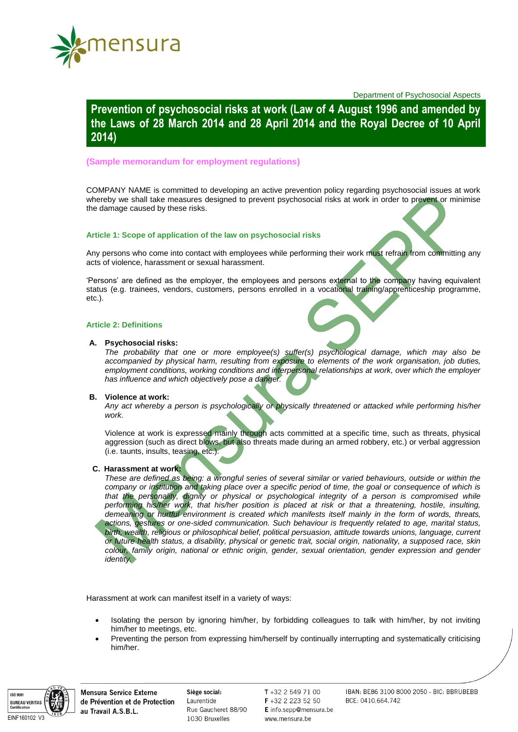

Department of Psychosocial Aspects

**Prevention of psychosocial risks at work (Law of 4 August 1996 and amended by the Laws of 28 March 2014 and 28 April 2014 and the Royal Decree of 10 April 2014)**

# **(Sample memorandum for employment regulations)**

COMPANY NAME is committed to developing an active prevention policy regarding psychosocial issues at work whereby we shall take measures designed to prevent psychosocial risks at work in order to prevent or minimise the damage caused by these risks.

# **Article 1: Scope of application of the law on psychosocial risks**

Any persons who come into contact with employees while performing their work must refrain from committing any acts of violence, harassment or sexual harassment.

'Persons' are defined as the employer, the employees and persons external to the company having equivalent status (e.g. trainees, vendors, customers, persons enrolled in a vocational training/apprenticeship programme, etc.).

## **Article 2: Definitions**

## **A. Psychosocial risks:**

*The probability that one or more employee(s) suffer(s) psychological damage, which may also be accompanied by physical harm, resulting from exposure to elements of the work organisation, job duties, employment conditions, working conditions and interpersonal relationships at work, over which the employer has influence and which objectively pose a danger.*

## **B. Violence at work:**

*Any act whereby a person is psychologically or physically threatened or attacked while performing his/her work.*

Violence at work is expressed mainly through acts committed at a specific time, such as threats, physical aggression (such as direct blows, but also threats made during an armed robbery, etc.) or verbal aggression (i.e. taunts, insults, teasing, etc.).

## **C. Harassment at work:**

*These are defined as being: a wrongful series of several similar or varied behaviours, outside or within the company or institution and taking place over a specific period of time, the goal or consequence of which is*  that the personality, dignity or physical or psychological integrity of a person is compromised while performing his/her work, that his/her position is placed at risk or that a threatening, hostile, insulting, *demeaning or hurtful environment is created which manifests itself mainly in the form of words, threats, actions, gestures or one-sided communication. Such behaviour is frequently related to age, marital status, birth, wealth, religious or philosophical belief, political persuasion, attitude towards unions, language, current or future health status, a disability, physical or genetic trait, social origin, nationality, a supposed race, skin colour, family origin, national or ethnic origin, gender, sexual orientation, gender expression and gender identity.*

Harassment at work can manifest itself in a variety of ways:

- Isolating the person by ignoring him/her, by forbidding colleagues to talk with him/her, by not inviting him/her to meetings, etc.
- Preventing the person from expressing him/herself by continually interrupting and systematically criticising him/her.



**Mensura Service Externe** de Prévention et de Protection au Travail A.S.B.L.

Siège social: Laurentide Rue Gaucheret 88/90 1030 Bruxelles

 $T + 3225497100$ F +32 2 223 52 50 E info.sepp@mensura.be www.mensura.be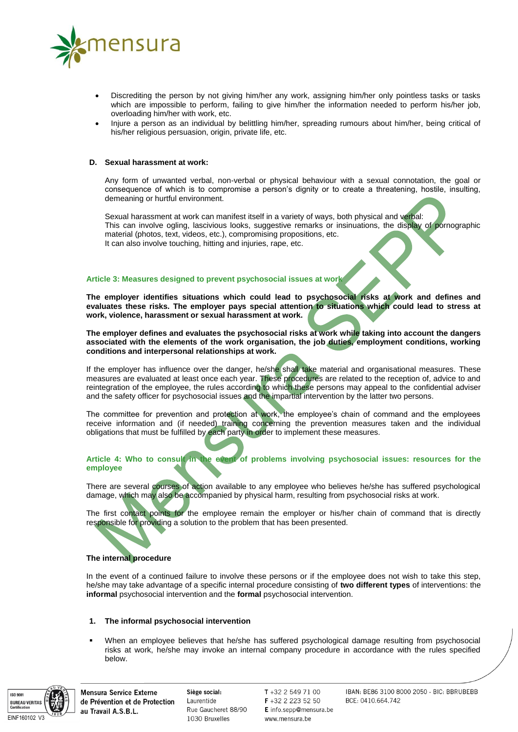

- Discrediting the person by not giving him/her any work, assigning him/her only pointless tasks or tasks which are impossible to perform, failing to give him/her the information needed to perform his/her job, overloading him/her with work, etc.
- Injure a person as an individual by belittling him/her, spreading rumours about him/her, being critical of his/her religious persuasion, origin, private life, etc.

#### **D. Sexual harassment at work:**

Any form of unwanted verbal, non-verbal or physical behaviour with a sexual connotation, the goal or consequence of which is to compromise a person's dignity or to create a threatening, hostile, insulting, demeaning or hurtful environment.

Sexual harassment at work can manifest itself in a variety of ways, both physical and verbal: This can involve ogling, lascivious looks, suggestive remarks or insinuations, the display of pornographic material (photos, text, videos, etc.), compromising propositions, etc. It can also involve touching, hitting and injuries, rape, etc.

#### **Article 3: Measures designed to prevent psychosocial issues at work**

**The employer identifies situations which could lead to psychosocial risks at work and defines and evaluates these risks. The employer pays special attention to situations which could lead to stress at work, violence, harassment or sexual harassment at work.**

**The employer defines and evaluates the psychosocial risks at work while taking into account the dangers associated with the elements of the work organisation, the job duties, employment conditions, working conditions and interpersonal relationships at work.**

If the employer has influence over the danger, he/she shall take material and organisational measures. These measures are evaluated at least once each year. These procedures are related to the reception of, advice to and reintegration of the employee, the rules according to which these persons may appeal to the confidential adviser and the safety officer for psychosocial issues and the impartial intervention by the latter two persons.

The committee for prevention and protection at work, the employee's chain of command and the employees receive information and (if needed) training concerning the prevention measures taken and the individual obligations that must be fulfilled by each party in order to implement these measures.

## **Article 4: Who to consult in the event of problems involving psychosocial issues: resources for the employee**

There are several courses of action available to any employee who believes he/she has suffered psychological damage, which may also be accompanied by physical harm, resulting from psychosocial risks at work.

The first contact points for the employee remain the employer or his/her chain of command that is directly responsible for providing a solution to the problem that has been presented.

## **The internal procedure**

In the event of a continued failure to involve these persons or if the employee does not wish to take this step, he/she may take advantage of a specific internal procedure consisting of **two different types** of interventions: the **informal** psychosocial intervention and the **formal** psychosocial intervention.

#### **1. The informal psychosocial intervention**

 When an employee believes that he/she has suffered psychological damage resulting from psychosocial risks at work, he/she may invoke an internal company procedure in accordance with the rules specified below.



**Mensura Service Externe** de Prévention et de Protection au Travail A.S.B.L.

Siège social: Laurentide Rue Gaucheret 88/90 1030 Bruxelles

 $T + 3225497100$ F +32 2 223 52 50 E info.sepp@mensura.be www.mensura.be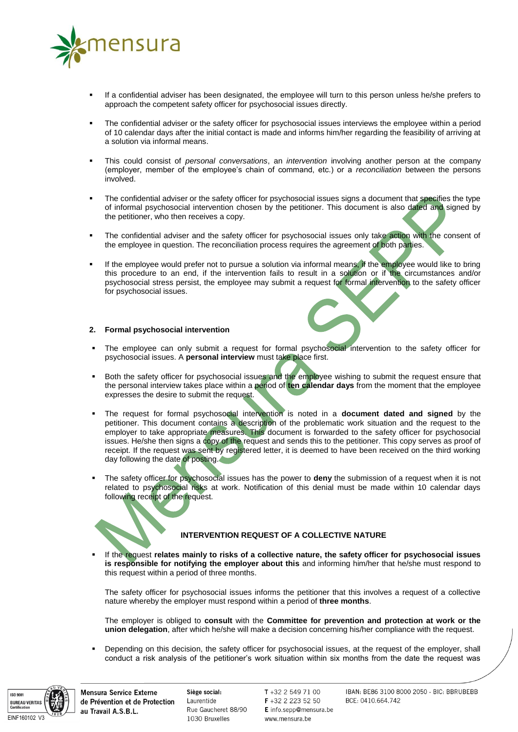

- If a confidential adviser has been designated, the employee will turn to this person unless he/she prefers to approach the competent safety officer for psychosocial issues directly.
- The confidential adviser or the safety officer for psychosocial issues interviews the employee within a period of 10 calendar days after the initial contact is made and informs him/her regarding the feasibility of arriving at a solution via informal means.
- This could consist of *personal conversations*, an *intervention* involving another person at the company (employer, member of the employee's chain of command, etc.) or a *reconciliation* between the persons involved.
- The confidential adviser or the safety officer for psychosocial issues signs a document that specifies the type of informal psychosocial intervention chosen by the petitioner. This document is also dated and signed by the petitioner, who then receives a copy.
- The confidential adviser and the safety officer for psychosocial issues only take action with the consent of the employee in question. The reconciliation process requires the agreement of both parties.
- If the employee would prefer not to pursue a solution via informal means, if the employee would like to bring this procedure to an end, if the intervention fails to result in a solution or if the circumstances and/or psychosocial stress persist, the employee may submit a request for formal intervention to the safety officer for psychosocial issues.

## **2. Formal psychosocial intervention**

- The employee can only submit a request for formal psychosocial intervention to the safety officer for psychosocial issues. A **personal interview** must take place first.
- Both the safety officer for psychosocial issues and the employee wishing to submit the request ensure that the personal interview takes place within a period of **ten calendar days** from the moment that the employee expresses the desire to submit the request.
- The request for formal psychosocial intervention is noted in a **document dated and signed** by the petitioner. This document contains a description of the problematic work situation and the request to the employer to take appropriate measures. This document is forwarded to the safety officer for psychosocial issues. He/she then signs a copy of the request and sends this to the petitioner. This copy serves as proof of receipt. If the request was sent by registered letter, it is deemed to have been received on the third working day following the date of posting.
- The safety officer for psychosocial issues has the power to **deny** the submission of a request when it is not related to psychosocial risks at work. Notification of this denial must be made within 10 calendar days following receipt of the request.

# **INTERVENTION REQUEST OF A COLLECTIVE NATURE**

 If the request **relates mainly to risks of a collective nature, the safety officer for psychosocial issues is responsible for notifying the employer about this** and informing him/her that he/she must respond to this request within a period of three months.

The safety officer for psychosocial issues informs the petitioner that this involves a request of a collective nature whereby the employer must respond within a period of **three months**.

The employer is obliged to **consult** with the **Committee for prevention and protection at work or the union delegation**, after which he/she will make a decision concerning his/her compliance with the request.

 Depending on this decision, the safety officer for psychosocial issues, at the request of the employer, shall conduct a risk analysis of the petitioner's work situation within six months from the date the request was



**Mensura Service Externe** de Prévention et de Protection au Travail A.S.B.L.

Siège social: Laurentide Rue Gaucheret 88/90 1030 Bruxelles

 $T + 3225497100$ F +32 2 223 52 50 E info.sepp@mensura.be www.mensura.be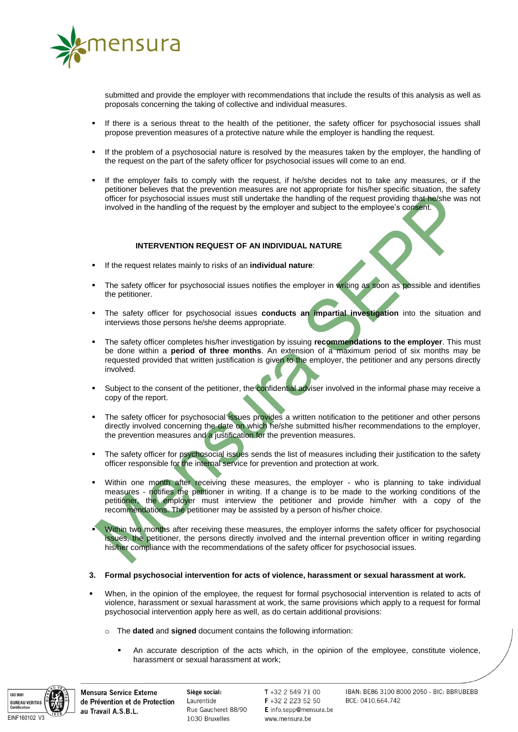

submitted and provide the employer with recommendations that include the results of this analysis as well as proposals concerning the taking of collective and individual measures.

- If there is a serious threat to the health of the petitioner, the safety officer for psychosocial issues shall propose prevention measures of a protective nature while the employer is handling the request.
- If the problem of a psychosocial nature is resolved by the measures taken by the employer, the handling of the request on the part of the safety officer for psychosocial issues will come to an end.
- If the employer fails to comply with the request, if he/she decides not to take any measures, or if the petitioner believes that the prevention measures are not appropriate for his/her specific situation, the safety officer for psychosocial issues must still undertake the handling of the request providing that he/she was not involved in the handling of the request by the employer and subject to the employee's consent.

## **INTERVENTION REQUEST OF AN INDIVIDUAL NATURE**

- If the request relates mainly to risks of an **individual nature**:
- The safety officer for psychosocial issues notifies the employer in writing as soon as possible and identifies the petitioner.
- The safety officer for psychosocial issues **conducts an impartial investigation** into the situation and interviews those persons he/she deems appropriate.
- The safety officer completes his/her investigation by issuing **recommendations to the employer**. This must be done within a **period of three months**. An extension of a maximum period of six months may be requested provided that written justification is given to the employer, the petitioner and any persons directly involved.
- Subject to the consent of the petitioner, the confidential adviser involved in the informal phase may receive a copy of the report.
- The safety officer for psychosocial issues provides a written notification to the petitioner and other persons directly involved concerning the date on which he/she submitted his/her recommendations to the employer, the prevention measures and a justification for the prevention measures.
- The safety officer for psychosocial issues sends the list of measures including their justification to the safety officer responsible for the internal service for prevention and protection at work.
- Within one month after receiving these measures, the employer who is planning to take individual measures - notifies the petitioner in writing. If a change is to be made to the working conditions of the petitioner, the employer must interview the petitioner and provide him/her with a copy of the recommendations. The petitioner may be assisted by a person of his/her choice.
- Within two months after receiving these measures, the employer informs the safety officer for psychosocial issues, the petitioner, the persons directly involved and the internal prevention officer in writing regarding his/her compliance with the recommendations of the safety officer for psychosocial issues.

## **3. Formal psychosocial intervention for acts of violence, harassment or sexual harassment at work.**

- When, in the opinion of the employee, the request for formal psychosocial intervention is related to acts of violence, harassment or sexual harassment at work, the same provisions which apply to a request for formal psychosocial intervention apply here as well, as do certain additional provisions:
	- o The **dated** and **signed** document contains the following information:
		- An accurate description of the acts which, in the opinion of the employee, constitute violence, harassment or sexual harassment at work;



**Mensura Service Externe** de Prévention et de Protection au Travail A.S.B.L.

Siège social: Laurentide Rue Gaucheret 88/90 1030 Bruxelles

 $T + 3225497100$ F +32 2 223 52 50 E info.sepp@mensura.be www.mensura.be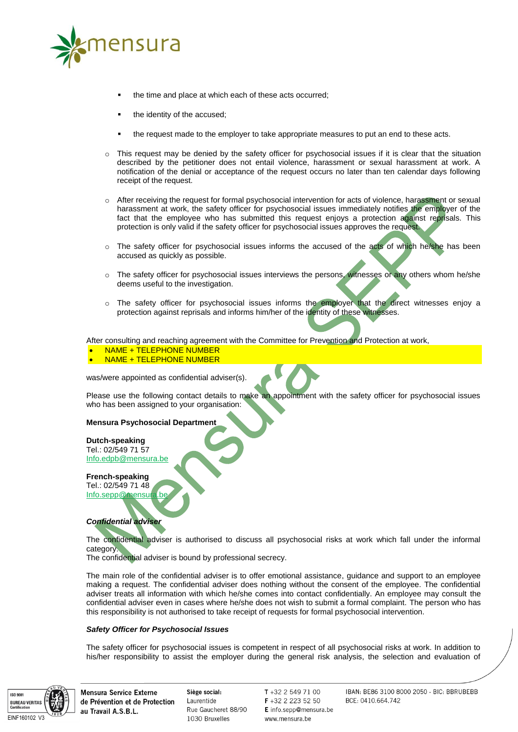

- the time and place at which each of these acts occurred;
- the identity of the accused;
- the request made to the employer to take appropriate measures to put an end to these acts.
- $\circ$  This request may be denied by the safety officer for psychosocial issues if it is clear that the situation described by the petitioner does not entail violence, harassment or sexual harassment at work. A notification of the denial or acceptance of the request occurs no later than ten calendar days following receipt of the request.
- o After receiving the request for formal psychosocial intervention for acts of violence, harassment or sexual harassment at work, the safety officer for psychosocial issues immediately notifies the employer of the fact that the employee who has submitted this request enjoys a protection against reprisals. This protection is only valid if the safety officer for psychosocial issues approves the request.
- $\circ$  The safety officer for psychosocial issues informs the accused of the acts of which he/she has been accused as quickly as possible.
- o The safety officer for psychosocial issues interviews the persons, witnesses or any others whom he/she deems useful to the investigation.
- o The safety officer for psychosocial issues informs the employer that the direct witnesses enjoy a protection against reprisals and informs him/her of the identity of these witnesses.

After consulting and reaching agreement with the Committee for Prevention and Protection at work,

# NAME + TELEPHONE NUMBER

# NAME + TELEPHONE NUMBER

was/were appointed as confidential adviser(s).

Please use the following contact details to make an appointment with the safety officer for psychosocial issues who has been assigned to your organisation:

## **Mensura Psychosocial Department**

# **Dutch-speaking** Tel.: 02/549 71 57

[Info.edpb@mensura.be](mailto:Info.edpb@mensura.be)

**French-speaking** Tel.: 02/549 71 48 [Info.sepp@mensura.be](mailto:Info.sepp@mensura.be)

# *Confidential adviser*

The confidential adviser is authorised to discuss all psychosocial risks at work which fall under the informal category.

The confidential adviser is bound by professional secrecy.

The main role of the confidential adviser is to offer emotional assistance, guidance and support to an employee making a request. The confidential adviser does nothing without the consent of the employee. The confidential adviser treats all information with which he/she comes into contact confidentially. An employee may consult the confidential adviser even in cases where he/she does not wish to submit a formal complaint. The person who has this responsibility is not authorised to take receipt of requests for formal psychosocial intervention.

#### *Safety Officer for Psychosocial Issues*

The safety officer for psychosocial issues is competent in respect of all psychosocial risks at work. In addition to his/her responsibility to assist the employer during the general risk analysis, the selection and evaluation of



**Mensura Service Externe** de Prévention et de Protection au Travail A.S.B.L.

Siège social: Laurentide Rue Gaucheret 88/90 1030 Bruxelles

 $T + 3225497100$ F +32 2 223 52 50 E info.sepp@mensura.be www.mensura.be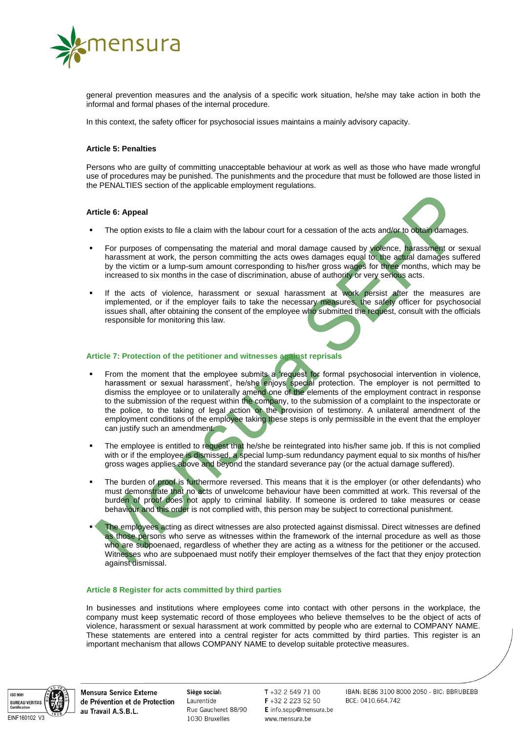

general prevention measures and the analysis of a specific work situation, he/she may take action in both the informal and formal phases of the internal procedure.

In this context, the safety officer for psychosocial issues maintains a mainly advisory capacity.

## **Article 5: Penalties**

Persons who are guilty of committing unacceptable behaviour at work as well as those who have made wrongful use of procedures may be punished. The punishments and the procedure that must be followed are those listed in the PENALTIES section of the applicable employment regulations.

#### **Article 6: Appeal**

- The option exists to file a claim with the labour court for a cessation of the acts and/or to obtain damages.
- For purposes of compensating the material and moral damage caused by violence, harassment or sexual harassment at work, the person committing the acts owes damages equal to: the actual damages suffered by the victim or a lump-sum amount corresponding to his/her gross wages for three months, which may be increased to six months in the case of discrimination, abuse of authority or very serious acts.
- If the acts of violence, harassment or sexual harassment at work persist after the measures are implemented, or if the employer fails to take the necessary measures, the safety officer for psychosocial issues shall, after obtaining the consent of the employee who submitted the request, consult with the officials responsible for monitoring this law.

## **Article 7: Protection of the petitioner and witnesses against reprisals**

- From the moment that the employee submits a 'request for formal psychosocial intervention in violence, harassment or sexual harassment', he/she enjoys special protection. The employer is not permitted to dismiss the employee or to unilaterally amend one of the elements of the employment contract in response to the submission of the request within the company, to the submission of a complaint to the inspectorate or the police, to the taking of legal action or the provision of testimony. A unilateral amendment of the employment conditions of the employee taking these steps is only permissible in the event that the employer can justify such an amendment.
- The employee is entitled to request that he/she be reintegrated into his/her same job. If this is not complied with or if the employee is dismissed, a special lump-sum redundancy payment equal to six months of his/her gross wages applies above and beyond the standard severance pay (or the actual damage suffered).
- The burden of proof is furthermore reversed. This means that it is the employer (or other defendants) who must demonstrate that no acts of unwelcome behaviour have been committed at work. This reversal of the burden of proof does not apply to criminal liability. If someone is ordered to take measures or cease behaviour and this order is not complied with, this person may be subject to correctional punishment.
- The employees acting as direct witnesses are also protected against dismissal. Direct witnesses are defined as those persons who serve as witnesses within the framework of the internal procedure as well as those who are subpoenaed, regardless of whether they are acting as a witness for the petitioner or the accused. Witnesses who are subpoenaed must notify their employer themselves of the fact that they enjoy protection against dismissal.

## **Article 8 Register for acts committed by third parties**

In businesses and institutions where employees come into contact with other persons in the workplace, the company must keep systematic record of those employees who believe themselves to be the object of acts of violence, harassment or sexual harassment at work committed by people who are external to COMPANY NAME. These statements are entered into a central register for acts committed by third parties. This register is an important mechanism that allows COMPANY NAME to develop suitable protective measures.



**Mensura Service Externe** de Prévention et de Protection au Travail A.S.B.L.

Siège social: Laurentide Rue Gaucheret 88/90 1030 Bruxelles

 $T + 3225497100$ F +32 2 223 52 50 E info.sepp@mensura.be www.mensura.be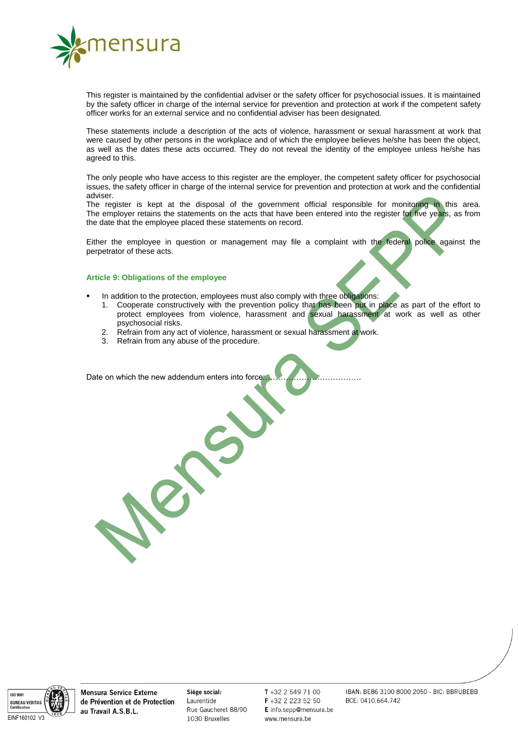

This register is maintained by the confidential adviser or the safety officer for psychosocial issues. It is maintained by the safety officer in charge of the internal service for prevention and protection at work if the competent safety officer works for an external service and no confidential adviser has been designated.

These statements include a description of the acts of violence, harassment or sexual harassment at work that were caused by other persons in the workplace and of which the employee believes he/she has been the object, as well as the dates these acts occurred. They do not reveal the identity of the employee unless he/she has agreed to this.

The only people who have access to this register are the employer, the competent safety officer for psychosocial issues, the safety officer in charge of the internal service for prevention and protection at work and the confidential adviser.

The register is kept at the disposal of the government official responsible for monitoring in this area. The employer retains the statements on the acts that have been entered into the register for five years, as from the date that the employee placed these statements on record.

Either the employee in question or management may file a complaint with the federal police against the perpetrator of these acts.

## **Article 9: Obligations of the employee**

- In addition to the protection, employees must also comply with three obligations:
	- 1. Cooperate constructively with the prevention policy that has been put in place as part of the effort to protect employees from violence, harassment and sexual harassment at work as well as other psychosocial risks.
	- 2. Refrain from any act of violence, harassment or sexual harassment at work.
	- 2. Refrain from any abuse of the procedure.<br>3. Refrain from any abuse of the procedure.

Date on which the new addendum enters into force:



**Mensura Service Externe** de Prévention et de Protection au Travail A.S.B.L.

Siège social: Laurentide Rue Gaucheret 88/90 1030 Bruxelles

 $T + 3225497100$ F +32 2 223 52 50 E info.sepp@mensura.be www.mensura.be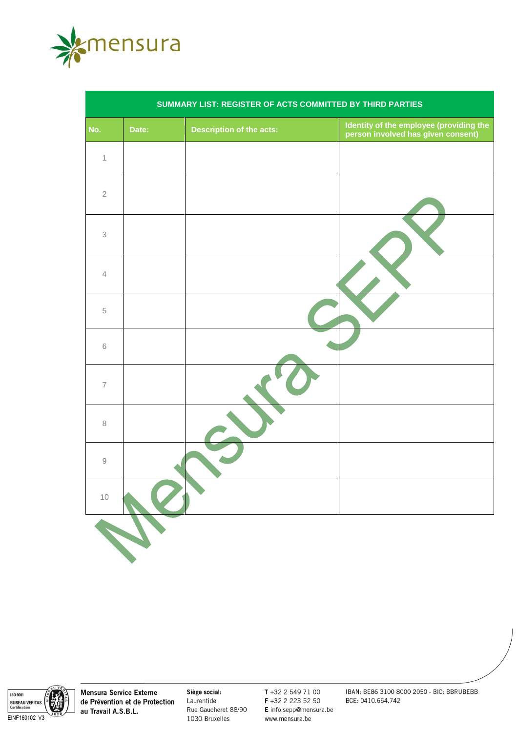

| SUMMARY LIST: REGISTER OF ACTS COMMITTED BY THIRD PARTIES |       |                                 |                                                                               |
|-----------------------------------------------------------|-------|---------------------------------|-------------------------------------------------------------------------------|
| No.                                                       | Date: | <b>Description of the acts:</b> | Identity of the employee (providing the<br>person involved has given consent) |
| $\mathbf 1$                                               |       |                                 |                                                                               |
| $\sqrt{2}$                                                |       |                                 |                                                                               |
| $\ensuremath{\mathbf{3}}$                                 |       |                                 |                                                                               |
| $\sqrt{4}$                                                |       |                                 |                                                                               |
| $\,$ 5                                                    |       |                                 |                                                                               |
| $\,$ $\,$ $\,$                                            |       |                                 |                                                                               |
| $\overline{7}$                                            |       |                                 |                                                                               |
| $\,8\,$                                                   |       |                                 |                                                                               |
| $\mathcal G$                                              |       |                                 |                                                                               |
| $10$                                                      |       |                                 |                                                                               |
|                                                           |       |                                 |                                                                               |



**Mensura Service Externe** de Prévention et de Protection au Travail A.S.B.L.

Siège social: Laurentide Rue Gaucheret 88/90 1030 Bruxelles

T +32 2 549 71 00 F +32 2 223 52 50 E info.sepp@mensura.be www.mensura.be